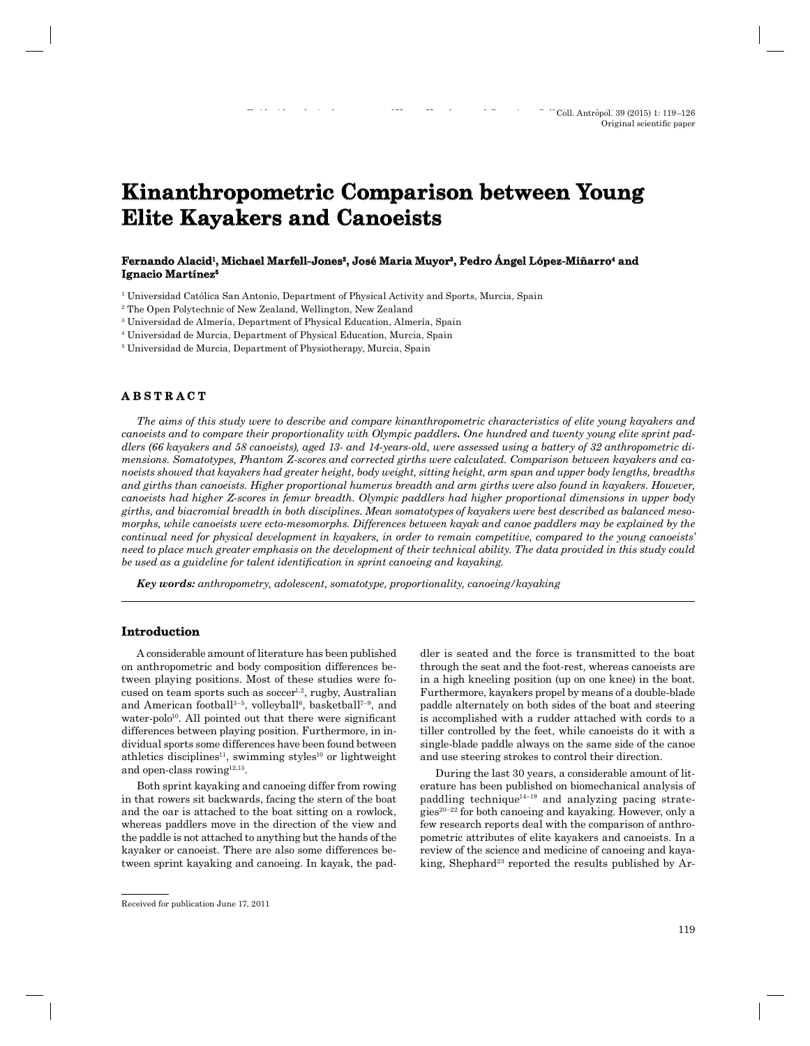# **Kinanthropometric Comparison between Young Elite Kayakers and Canoeists**

#### Fernando Alacid<sup>ı</sup>, Michael Marfell-Jones<sup>2</sup>, José Maria Muyor<sup>3</sup>, Pedro Angel López-Miñarro<del>'</del> and Ignacio Martínez<sup>5</sup>

1 Universidad Católica San Antonio, Department of Physical Activity and Sports, Murcia, Spain

2 The Open Polytechnic of New Zealand, Wellington, New Zealand

3 Universidad de Almería, Department of Physical Education, Almería, Spain

4 Universidad de Murcia, Department of Physical Education, Murcia, Spain

5 Universidad de Murcia, Department of Physiotherapy, Murcia, Spain

# **ABSTRACT B S T R A C T**

*The aims of this study were to describe and compare kinanthropometric characteristics of elite young kayakers and canoeists and to compare their proportionality with Olympic paddlers. One hundred and twenty young elite sprint paddlers (66 kayakers and 58 canoeists), aged 13- and 14-years-old, were assessed using a battery of 32 anthropometric dimensions. Somatotypes, Phantom Z-scores and corrected girths were calculated. Comparison between kayakers and canoeists showed that kayakers had greater height, body weight, sitting height, arm span and upper body lengths, breadths and girths than canoeists. Higher proportional humerus breadth and arm girths were also found in kayakers. However, canoeists had higher Z-scores in femur breadth. Olympic paddlers had higher proportional dimensions in upper body girths, and biacromial breadth in both disciplines. Mean somatotypes of kayakers were best described as balanced mesomorphs, while canoeists were ecto-mesomorphs. Differences between kayak and canoe paddlers may be explained by the continual need for physical development in kayakers, in order to remain competitive, compared to the young canoeists' need to place much greater emphasis on the development of their technical ability. The data provided in this study could be used as a guideline for talent identification in sprint canoeing and kayaking.* 

*Key words: anthropometry, adolescent, somatotype, proportionality, canoeing/kayaking*

# **Introduction ntroduction**

A considerable amount of literature has been published on anthropometric and body composition differences between playing positions. Most of these studies were focused on team sports such as  $soccer^{1,2}$ , rugby, Australian and American football<sup>3-5</sup>, volleyball<sup>6</sup>, basketball<sup>7-9</sup>, and water-polo<sup>10</sup>. All pointed out that there were significant differences between playing position. Furthermore, in individual sports some differences have been found between athletics disciplines<sup>11</sup>, swimming styles<sup>10</sup> or lightweight and open-class rowing<sup>12,13</sup>.

Both sprint kayaking and canoeing differ from rowing in that rowers sit backwards, facing the stern of the boat and the oar is attached to the boat sitting on a rowlock, whereas paddlers move in the direction of the view and the paddle is not attached to anything but the hands of the kayaker or canoeist. There are also some differences between sprint kayaking and canoeing. In kayak, the pad-

dler is seated and the force is transmitted to the boat through the seat and the foot-rest, whereas canoeists are in a high kneeling position (up on one knee) in the boat. Furthermore, kayakers propel by means of a double-blade paddle alternately on both sides of the boat and steering is accomplished with a rudder attached with cords to a tiller controlled by the feet, while canoeists do it with a single-blade paddle always on the same side of the canoe and use steering strokes to control their direction.

During the last 30 years, a considerable amount of literature has been published on biomechanical analysis of paddling technique $14-19$  and analyzing pacing strate $gies<sup>20-22</sup>$  for both canoeing and kayaking. However, only a few research reports deal with the comparison of anthropometric attributes of elite kayakers and canoeists. In a review of the science and medicine of canoeing and kayaking, Shephard<sup>23</sup> reported the results published by Ar-

Received for publication June 17, 2011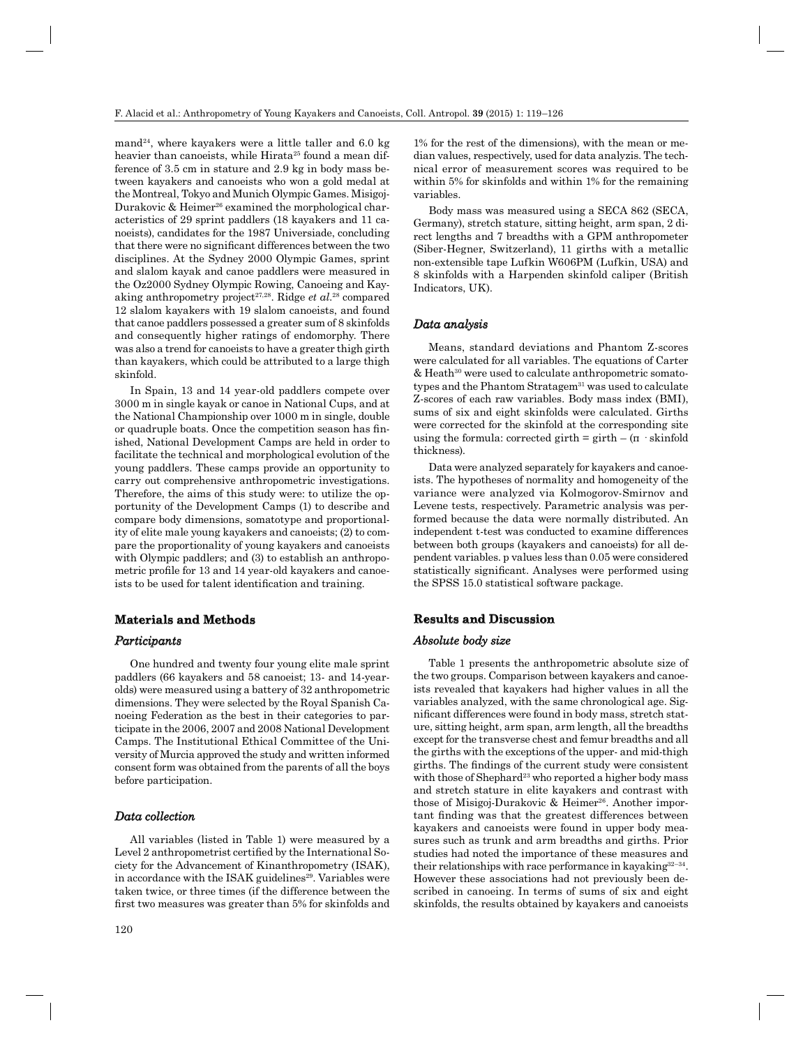mand<sup>24</sup>, where kayakers were a little taller and 6.0 kg heavier than canoeists, while Hirata<sup>25</sup> found a mean difference of 3.5 cm in stature and 2.9 kg in body mass between kayakers and canoeists who won a gold medal at the Montreal, Tokyo and Munich Olympic Games. Misigoj-Durakovic & Heimer<sup>26</sup> examined the morphological characteristics of 29 sprint paddlers (18 kayakers and 11 canoeists), candidates for the 1987 Universiade, concluding that there were no significant differences between the two disciplines. At the Sydney 2000 Olympic Games, sprint and slalom kayak and canoe paddlers were measured in the Oz2000 Sydney Olympic Rowing, Canoeing and Kayaking anthropometry project<sup>27,28</sup>. Ridge *et al.*<sup>28</sup> compared 12 slalom kayakers with 19 slalom canoeists, and found that canoe paddlers possessed a greater sum of 8 skinfolds and consequently higher ratings of endomorphy. There was also a trend for canoeists to have a greater thigh girth than kayakers, which could be attributed to a large thigh skinfold.

In Spain, 13 and 14 year-old paddlers compete over 3000 m in single kayak or canoe in National Cups, and at the National Championship over 1000 m in single, double or quadruple boats. Once the competition season has finished, National Development Camps are held in order to facilitate the technical and morphological evolution of the young paddlers. These camps provide an opportunity to carry out comprehensive anthropometric investigations. Therefore, the aims of this study were: to utilize the opportunity of the Development Camps (1) to describe and compare body dimensions, somatotype and proportionality of elite male young kayakers and canoeists; (2) to compare the proportionality of young kayakers and canoeists with Olympic paddlers; and (3) to establish an anthropometric profile for 13 and 14 year-old kayakers and canoeists to be used for talent identification and training.

#### **Materials and Methods aterials and**

#### *Participants articipants*

One hundred and twenty four young elite male sprint paddlers (66 kayakers and 58 canoeist; 13- and 14-yearolds) were measured using a battery of 32 anthropometric dimensions. They were selected by the Royal Spanish Canoeing Federation as the best in their categories to participate in the 2006, 2007 and 2008 National Development Camps. The Institutional Ethical Committee of the University of Murcia approved the study and written informed consent form was obtained from the parents of all the boys before participation.

# *Data collection ata*

All variables (listed in Table 1) were measured by a Level 2 anthropometrist certified by the International Society for the Advancement of Kinanthropometry (ISAK), in accordance with the ISAK guidelines<sup>29</sup>. Variables were taken twice, or three times (if the difference between the first two measures was greater than 5% for skinfolds and

1% for the rest of the dimensions), with the mean or median values, respectively, used for data analyzis. The technical error of measurement scores was required to be within 5% for skinfolds and within 1% for the remaining variables.

Body mass was measured using a SECA 862 (SECA, Germany), stretch stature, sitting height, arm span, 2 direct lengths and 7 breadths with a GPM anthropometer (Siber-Hegner, Switzerland), 11 girths with a metallic non-extensible tape Lufkin W606PM (Lufkin, USA) and 8 skinfolds with a Harpenden skinfold caliper (British Indicators, UK).

#### *Data analysis ata*

Means, standard deviations and Phantom Z-scores were calculated for all variables. The equations of Carter & Heath30 were used to calculate anthropometric somatotypes and the Phantom Stratagem $31$  was used to calculate Z-scores of each raw variables. Body mass index (BMI), sums of six and eight skinfolds were calculated. Girths were corrected for the skinfold at the corresponding site using the formula: corrected girth = girth  $-(\pi \cdot \text{skinfold})$ thickness).

Data were analyzed separately for kayakers and canoeists. The hypotheses of normality and homogeneity of the variance were analyzed via Kolmogorov-Smirnov and Levene tests, respectively. Parametric analysis was performed because the data were normally distributed. An independent t-test was conducted to examine differences between both groups (kayakers and canoeists) for all dependent variables. p values less than 0.05 were considered statistically significant. Analyses were performed using the SPSS 15.0 statistical software package.

## **Results and Discussion**

#### *Absolute body size bsolute*

Table 1 presents the anthropometric absolute size of the two groups. Comparison between kayakers and canoeists revealed that kayakers had higher values in all the variables analyzed, with the same chronological age. Significant differences were found in body mass, stretch stature, sitting height, arm span, arm length, all the breadths except for the transverse chest and femur breadths and all the girths with the exceptions of the upper- and mid-thigh girths. The findings of the current study were consistent with those of Shephard<sup>23</sup> who reported a higher body mass and stretch stature in elite kayakers and contrast with those of Misigoj-Durakovic & Heimer<sup>26</sup>. Another important finding was that the greatest differences between kayakers and canoeists were found in upper body measures such as trunk and arm breadths and girths. Prior studies had noted the importance of these measures and their relationships with race performance in kayaking  $32-34$ . However these associations had not previously been described in canoeing. In terms of sums of six and eight skinfolds, the results obtained by kayakers and canoeists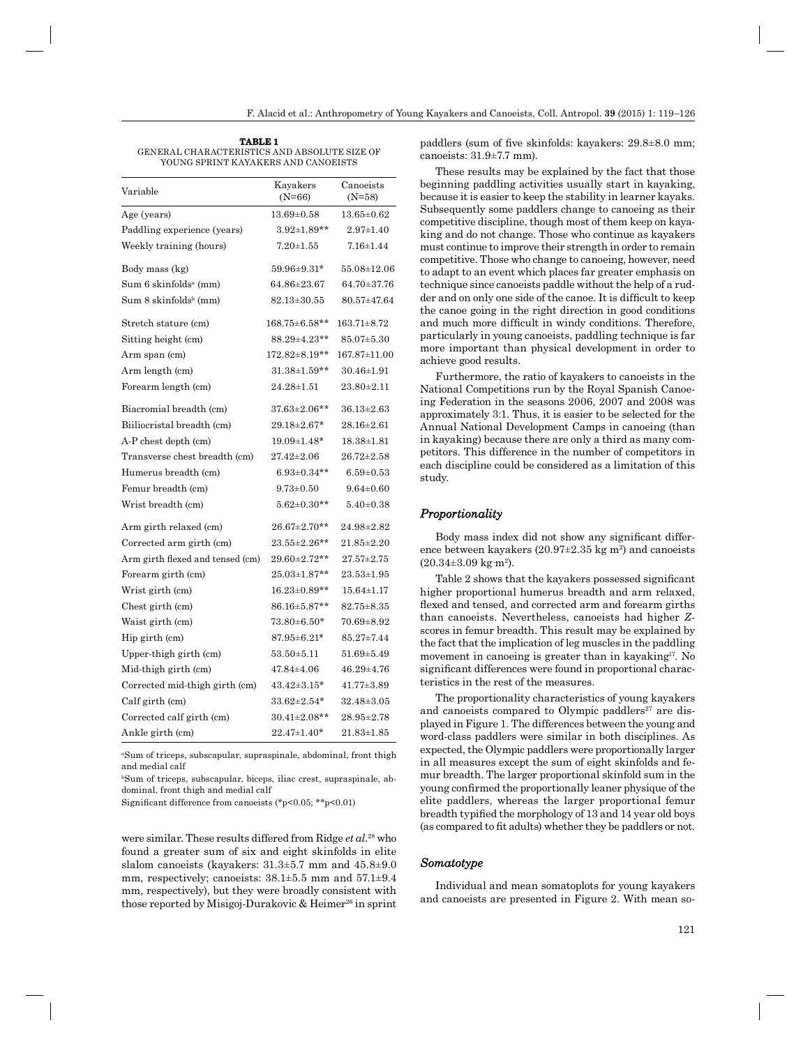**TABLE 1** GENERAL CHARACTERISTICS AND ABSOLUTE SIZE OF YOUNG SPRINT KAYAKERS AND CANOEISTS

| Variable                            | Kayakers<br>$(N=66)$       | Canoeists<br>(N=58) |
|-------------------------------------|----------------------------|---------------------|
| Age (years)                         | $13.69 \pm 0.58$           | $13.65 \pm 0.62$    |
| Paddling experience (years)         | $3.92 \pm 1.89**$          | $2.97 \pm 1.40$     |
| Weekly training (hours)             | $7.20 \pm 1.55$            | $7.16 \pm 1.44$     |
| Body mass (kg)                      | 59.96±9.31*                | 55.08±12.06         |
| Sum 6 skinfoldsª (mm)               | $64.86 \pm 23.67$          | 64.70±37.76         |
| $Sum 8$ skinfolds <sup>b</sup> (mm) | 82.13±30.55                | $80.57 + 47.64$     |
| Stretch stature (cm)                | $168.75 \!\!\pm\! 6.58$ ** | $163.71 \pm 8.72$   |
| Sitting height (cm)                 | $88.29 \pm 4.23$ **        | $85.07 \pm 5.30$    |
| Arm span (cm)                       | $172.82 \pm 8.19**$        | 167.87±11.00        |
| Arm length (cm)                     | $31.38 \pm 1.59**$         | 30.46±1.91          |
| Forearm length (cm)                 | $24.28 \pm 1.51$           | $23.80 \pm 2.11$    |
| Biacromial breadth (cm)             | $37.63 \pm 2.06**$         | $36.13 \pm 2.63$    |
| Biiliocristal breadth (cm)          | 29.18±2.67*                | $28.16 \pm 2.61$    |
| A-P chest depth (cm)                | 19.09±1.48*                | $18.38 \pm 1.81$    |
| Transverse chest breadth (cm)       | $27.42 \pm 2.06$           | $26.72 {\pm} 2.58$  |
| Humerus breadth (cm)                | $6.93 \pm 0.34**$          | $6.59 \pm 0.53$     |
| Femur breadth (cm)                  | $9.73 \pm 0.50$            | $9.64 \pm 0.60$     |
| Wrist breadth (cm)                  | $5.62 \pm 0.30**$          | $5.40 \pm 0.38$     |
| Arm girth relaxed (cm)              | $26.67 \pm 2.70**$         | $24.98 \pm 2.82$    |
| Corrected arm girth (cm)            | $23.55 \pm 2.26$ **        | $21.85 \pm 2.20$    |
| Arm girth flexed and tensed (cm)    | $29.60 \pm 2.72$ **        | $27.57 \pm 2.75$    |
| Forearm girth (cm)                  | $25.03 \pm 1.87**$         | $23.53 \pm 1.95$    |
| Wrist girth (cm)                    | $16.23 \pm 0.89**$         | $15.64 \pm 1.17$    |
| Chest girth (cm)                    | $86.16 \pm 5.87**$         | $82.75 \pm 8.35$    |
| Waist girth (cm)                    | $73.80 \pm 6.50*$          | $70.69 + 8.92$      |
| Hip girth (cm)                      | $87.95 \pm 6.21*$          | 85.27±7.44          |
| Upper-thigh girth (cm)              | $53.50 \pm 5.11$           | $51.69{\pm}5.49$    |
| Mid-thigh girth (cm)                | $47.84 \pm 4.06$           | $46.29 \pm 4.76$    |
| Corrected mid-thigh girth (cm)      | $43.42 \pm 3.15*$          | 41.77±3.89          |
| Calf girth (cm)                     | $33.62 \pm 2.54*$          | $32.48 \pm 3.05$    |
| Corrected calf girth (cm)           | $30.41 \pm 2.08$ **        | $28.95 \pm 2.78$    |
| Ankle girth (cm)                    | $22.47 \pm 1.40*$          | $21.83 \pm 1.85$    |

aSum of triceps, subscapular, supraspinale, abdominal, front thigh and medial calf

bSum of triceps, subscapular, biceps, iliac crest, supraspinale, abdominal, front thigh and medial calf

Significant difference from canoeists (\*p<0.05; \*\*p<0.01)

were similar. These results differed from Ridge *et al*. 28 who found a greater sum of six and eight skinfolds in elite slalom canoeists (kayakers: 31.3±5.7 mm and 45.8±9.0 mm, respectively; canoeists: 38.1±5.5 mm and 57.1±9.4 mm, respectively), but they were broadly consistent with those reported by Misigoj-Durakovic & Heimer<sup>26</sup> in sprint

paddlers (sum of five skinfolds: kayakers:  $29.8\pm8.0$  mm; canoeists: 31.9±7.7 mm).

These results may be explained by the fact that those beginning paddling activities usually start in kayaking, because it is easier to keep the stability in learner kayaks. Subsequently some paddlers change to canoeing as their competitive discipline, though most of them keep on kayaking and do not change. Those who continue as kayakers must continue to improve their strength in order to remain competitive. Those who change to canoeing, however, need to adapt to an event which places far greater emphasis on technique since canoeists paddle without the help of a rudder and on only one side of the canoe. It is difficult to keep the canoe going in the right direction in good conditions and much more difficult in windy conditions. Therefore, particularly in young canoeists, paddling technique is far more important than physical development in order to achieve good results.

Furthermore, the ratio of kayakers to canoeists in the National Competitions run by the Royal Spanish Canoeing Federation in the seasons 2006, 2007 and 2008 was approximately 3:1. Thus, it is easier to be selected for the Annual National Development Camps in canoeing (than in kayaking) because there are only a third as many competitors. This difference in the number of competitors in each discipline could be considered as a limitation of this study.

## *Proportionality roportionality*

Body mass index did not show any significant difference between kayakers  $(20.97 \pm 2.35 \text{ kg m}^2)$  and canoeists  $(20.34 \pm 3.09 \text{ kg} \cdot \text{m}^2).$ 

Table 2 shows that the kayakers possessed significant higher proportional humerus breadth and arm relaxed, flexed and tensed, and corrected arm and forearm girths than canoeists. Nevertheless, canoeists had higher *Z*scores in femur breadth. This result may be explained by the fact that the implication of leg muscles in the paddling movement in canoeing is greater than in kayaking<sup>17</sup>. No significant differences were found in proportional characteristics in the rest of the measures.

The proportionality characteristics of young kayakers and canoeists compared to Olympic paddlers<sup>27</sup> are displayed in Figure 1. The differences between the young and word-class paddlers were similar in both disciplines. As expected, the Olympic paddlers were proportionally larger in all measures except the sum of eight skinfolds and femur breadth. The larger proportional skinfold sum in the young confirmed the proportionally leaner physique of the elite paddlers, whereas the larger proportional femur breadth typified the morphology of 13 and 14 year old boys (as compared to fit adults) whether they be paddlers or not.

#### *Somatotype omatotype*

Individual and mean somatoplots for young kayakers and canoeists are presented in Figure 2. With mean so-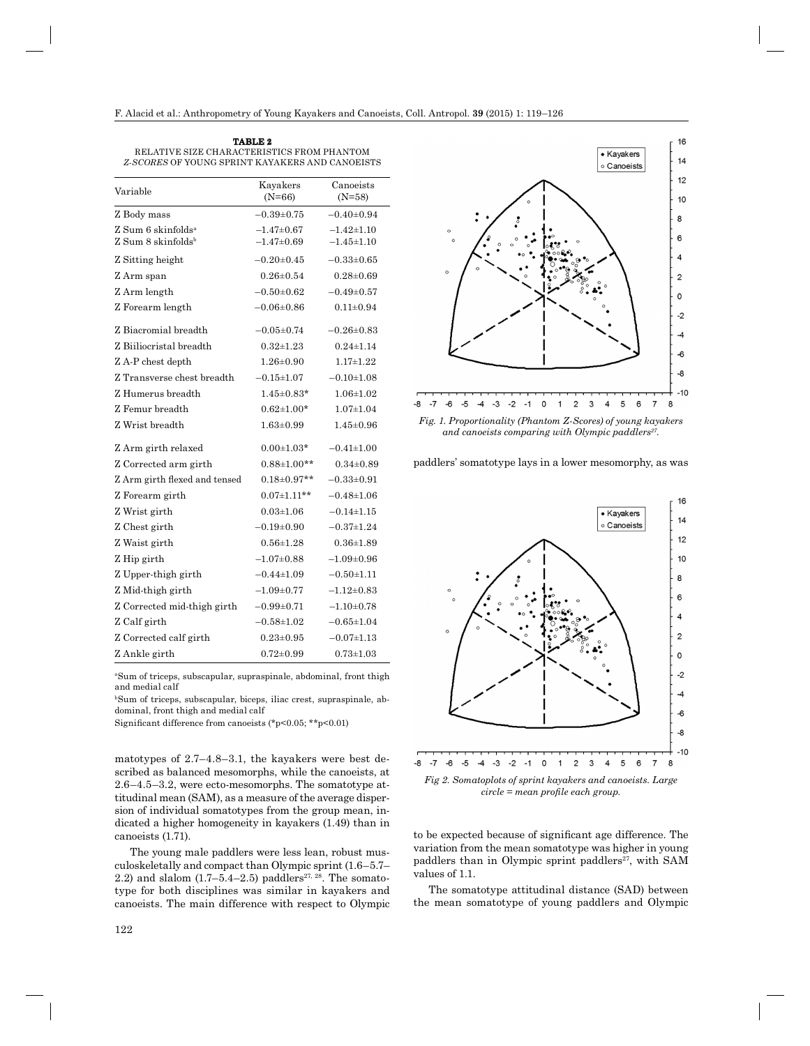| TABLE 2                                         |  |  |
|-------------------------------------------------|--|--|
| RELATIVE SIZE CHARACTERISTICS FROM PHANTOM      |  |  |
| Z-SCORES OF YOUNG SPRINT KAYAKERS AND CANOEISTS |  |  |

| Variable                                                           | Kayakers<br>$(N=66)$               | Canoeists<br>$(N=58)$                |
|--------------------------------------------------------------------|------------------------------------|--------------------------------------|
| Z Body mass                                                        | $-0.39 \pm 0.75$                   | $-0.40+0.94$                         |
| Z Sum 6 skinfolds <sup>a</sup><br>$Z$ Sum 8 skinfolds <sup>b</sup> | $-1.47\pm0.67$<br>$-1.47 \pm 0.69$ | $-1.42 \pm 1.10$<br>$-1.45 \pm 1.10$ |
| Z Sitting height                                                   | $-0.20 \pm 0.45$                   | $-0.33 \pm 0.65$                     |
| Z Arm span                                                         | $0.26 \pm 0.54$                    | $0.28 \pm 0.69$                      |
| Z Arm length                                                       | $-0.50+0.62$                       | $-0.49+0.57$                         |
| Z Forearm length                                                   | $-0.06 \pm 0.86$                   | $0.11 \pm 0.94$                      |
| Z Biacromial breadth                                               | $-0.05 \pm 0.74$                   | $-0.26 \pm 0.83$                     |
| Z Biiliocristal breadth                                            | $0.32 + 1.23$                      | $0.24 \pm 1.14$                      |
| Z A-P chest depth                                                  | $1.26 \pm 0.90$                    | $1.17 \pm 1.22$                      |
| Z Transverse chest breadth                                         | $-0.15 \pm 1.07$                   | $-0.10+1.08$                         |
| Z Humerus breadth                                                  | $1.45 \pm 0.83*$                   | $1.06 \pm 1.02$                      |
| Z Femur breadth                                                    | $0.62{\pm}1.00*$                   | $1.07 \pm 1.04$                      |
| Z Wrist breadth                                                    | $1.63 \pm 0.99$                    | $1.45 \pm 0.96$                      |
| Z Arm girth relaxed                                                | $0.00 + 1.03*$                     | $-0.41 \pm 1.00$                     |
| Z Corrected arm girth                                              | $0.88 \pm 1.00**$                  | $0.34 \pm 0.89$                      |
| Z Arm girth flexed and tensed                                      | $0.18 \pm 0.97**$                  | $-0.33\pm0.91$                       |
| Z Forearm girth                                                    | $0.07 \pm 1.11$ **                 | $-0.48 \pm 1.06$                     |
| Z Wrist girth                                                      | $0.03 + 1.06$                      | $-0.14\pm1.15$                       |
| Z Chest girth                                                      | $-0.19+0.90$                       | $-0.37 \pm 1.24$                     |
| Z Waist girth                                                      | $0.56 \pm 1.28$                    | $0.36 + 1.89$                        |
| Z Hip girth                                                        | $-1.07 \pm 0.88$                   | $-1.09 \pm 0.96$                     |
| Z Upper-thigh girth                                                | $-0.44\pm1.09$                     | $-0.50 + 1.11$                       |
| Z Mid-thigh girth                                                  | $-1.09+0.77$                       | $-1.12 \pm 0.83$                     |
| Z Corrected mid-thigh girth                                        | $-0.99 + 0.71$                     | $-1.10+0.78$                         |
| Z Calf girth                                                       | $-0.58 + 1.02$                     | $-0.65 \pm 1.04$                     |
| Z Corrected calf girth                                             | $0.23 \pm 0.95$                    | $-0.07 \pm 1.13$                     |
| Z Ankle girth                                                      | $0.72 \pm 0.99$                    | $0.73 \pm 1.03$                      |

aSum of triceps, subscapular, supraspinale, abdominal, front thigh and medial calf

bSum of triceps, subscapular, biceps, iliac crest, supraspinale, abdominal, front thigh and medial calf

Significant difference from canoeists (\*p<0.05; \*\*p<0.01)

matotypes of 2.7–4.8–3.1, the kayakers were best described as balanced mesomorphs, while the canoeists, at 2.6–4.5–3.2, were ecto-mesomorphs. The somatotype attitudinal mean (SAM), as a measure of the average dispersion of individual somatotypes from the group mean, indicated a higher homogeneity in kayakers (1.49) than in canoeists (1.71).

The young male paddlers were less lean, robust musculoskeletally and compact than Olympic sprint (1.6–5.7– 2.2) and slalom  $(1.7-5.4-2.5)$  paddlers<sup>27, 28</sup>. The somatotype for both disciplines was similar in kayakers and canoeists. The main difference with respect to Olympic



*Fig. 1. Proportionality (Phantom Z-Scores) of young kayakers and canoeists comparing with Olympic paddlers27.*

paddlers' somatotype lays in a lower mesomorphy, as was



to be expected because of significant age difference. The variation from the mean somatotype was higher in young paddlers than in Olympic sprint paddlers<sup>27</sup>, with SAM values of 1.1.

The somatotype attitudinal distance (SAD) between the mean somatotype of young paddlers and Olympic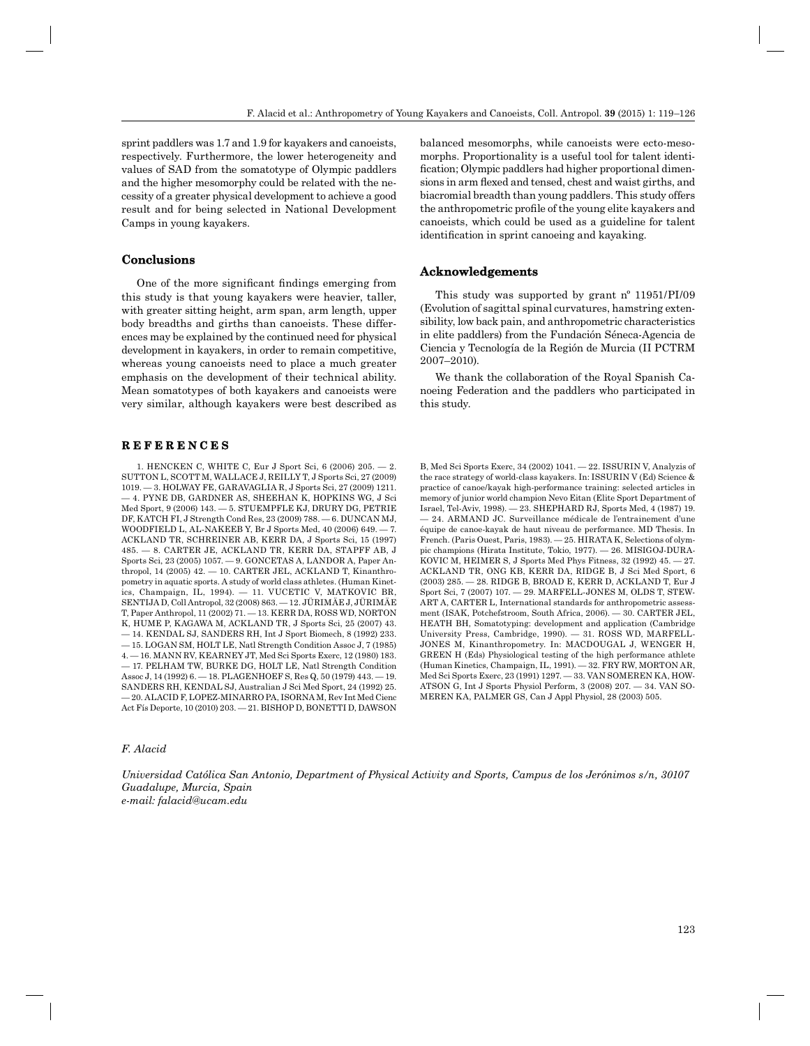sprint paddlers was 1.7 and 1.9 for kayakers and canoeists, respectively. Furthermore, the lower heterogeneity and values of SAD from the somatotype of Olympic paddlers and the higher mesomorphy could be related with the necessity of a greater physical development to achieve a good result and for being selected in National Development Camps in young kayakers.

#### **Conclusions onclusions**

One of the more significant findings emerging from this study is that young kayakers were heavier, taller, with greater sitting height, arm span, arm length, upper body breadths and girths than canoeists. These differences may be explained by the continued need for physical development in kayakers, in order to remain competitive, whereas young canoeists need to place a much greater emphasis on the development of their technical ability. Mean somatotypes of both kayakers and canoeists were very similar, although kayakers were best described as

# **REFERENCES E F E R E N C E S**

1. HENCKEN C, WHITE C, Eur J Sport Sci, 6 (2006) 205. — 2. SUTTON L, SCOTT M, WALLACE J, REILLY T, J Sports Sci, 27 (2009) 1019. — 3. HOLWAY FE, GARAVAGLIA R, J Sports Sci, 27 (2009) 1211. — 4. PYNE DB, GARDNER AS, SHEEHAN K, HOPKINS WG, J Sci Med Sport, 9 (2006) 143. — 5. STUEMPFLE KJ, DRURY DG, PETRIE DF, KATCH FI, J Strength Cond Res, 23 (2009) 788. — 6. DUNCAN MJ, WOODFIELD L, AL-NAKEEB Y, Br J Sports Med, 40 (2006) 649. — 7. ACKLAND TR, SCHREINER AB, KERR DA, J Sports Sci, 15 (1997) 485. — 8. CARTER JE, ACKLAND TR, KERR DA, STAPFF AB, J Sports Sci, 23 (2005) 1057. — 9. GONCETAS A, LANDOR A, Paper Anthropol, 14 (2005) 42. — 10. CARTER JEL, ACKLAND T, Kinanthropometry in aquatic sports. A study of world class athletes. (Human Kinetics, Champaign, IL, 1994). — 11. VUCETIC V, MATKOVIC BR, SENTIJA D, Coll Antropol, 32 (2008) 863. — 12. JÜRIMÄE J, JÜRIMÄE T, Paper Anthropol, 11 (2002) 71. — 13. KERR DA, ROSS WD, NORTON K, HUME P, KAGAWA M, ACKLAND TR, J Sports Sci, 25 (2007) 43. — 14. KENDAL SJ, SANDERS RH, Int J Sport Biomech, 8 (1992) 233. — 15. LOGAN SM, HOLT LE, Natl Strength Condition Assoc J, 7 (1985) 4. — 16. MANN RV, KEARNEY JT, Med Sci Sports Exerc, 12 (1980) 183. — 17. PELHAM TW, BURKE DG, HOLT LE, Natl Strength Condition Assoc J, 14 (1992) 6. — 18. PLAGENHOEF S, Res Q, 50 (1979) 443. — 19. SANDERS RH, KENDAL SJ, Australian J Sci Med Sport, 24 (1992) 25. — 20. ALACID F, LOPEZ-MINARRO PA, ISORNA M, Rev Int Med Cienc Act Fís Deporte, 10 (2010) 203. — 21. BISHOP D, BONETTI D, DAWSON

#### *F. Alacid*

*Universidad Católica San Antonio, Department of Physical Activity and Sports, Campus de los Jerónimos s/n, 30107 Guadalupe, Murcia, Spain e-mail: falacid@ucam.edu*

balanced mesomorphs, while canoeists were ecto-mesomorphs. Proportionality is a useful tool for talent identification; Olympic paddlers had higher proportional dimensions in arm flexed and tensed, chest and waist girths, and biacromial breadth than young paddlers. This study offers the anthropometric profile of the young elite kayakers and canoeists, which could be used as a guideline for talent identification in sprint canoeing and kayaking.

## **Acknowledgements cknowledgements**

This study was supported by grant nº 11951/PI/09 (Evolution of sagittal spinal curvatures, hamstring extensibility, low back pain, and anthropometric characteristics in elite paddlers) from the Fundación Séneca-Agencia de Ciencia y Tecnología de la Región de Murcia (II PCTRM 2007–2010).

We thank the collaboration of the Royal Spanish Canoeing Federation and the paddlers who participated in this study.

B, Med Sci Sports Exerc, 34 (2002) 1041. — 22. ISSURIN V, Analyzis of the race strategy of world-class kayakers. In: ISSURIN V (Ed) Science & practice of canoe/kayak high-performance training: selected articles in memory of junior world champion Nevo Eitan (Elite Sport Department of Israel, Tel-Aviv, 1998). — 23. SHEPHARD RJ, Sports Med, 4 (1987) 19. — 24. ARMAND JC. Surveillance médicale de l'entrainement d'une équipe de canoe-kayak de haut niveau de performance. MD Thesis. In French. (Paris Ouest, Paris, 1983). — 25. HIRATA K, Selections of olympic champions (Hirata Institute, Tokio, 1977). — 26. MISIGOJ-DURA-KOVIC M, HEIMER S, J Sports Med Phys Fitness, 32 (1992) 45. — 27. ACKLAND TR, ONG KB, KERR DA, RIDGE B, J Sci Med Sport, 6 (2003) 285. — 28. RIDGE B, BROAD E, KERR D, ACKLAND T, Eur J Sport Sci, 7 (2007) 107. — 29. MARFELL-JONES M, OLDS T, STEW-ART A, CARTER L, International standards for anthropometric assessment (ISAK, Potchefstroom, South Africa, 2006). — 30. CARTER JEL, HEATH BH, Somatotyping: development and application (Cambridge University Press, Cambridge, 1990). — 31. ROSS WD, MARFELL-JONES M, Kinanthropometry. In: MACDOUGAL J, WENGER H, GREEN H (Eds) Physiological testing of the high performance athlete (Human Kinetics, Champaign, IL, 1991). — 32. FRY RW, MORTON AR, Med Sci Sports Exerc, 23 (1991) 1297. — 33. VAN SOMEREN KA, HOW-ATSON G, Int J Sports Physiol Perform, 3 (2008) 207. — 34. VAN SO-MEREN KA, PALMER GS, Can J Appl Physiol, 28 (2003) 505.